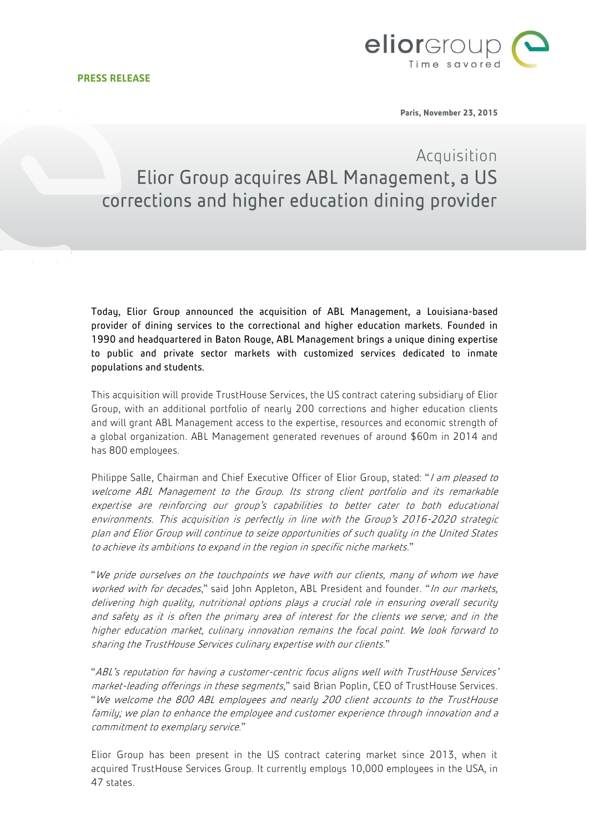

**Paris, November 23, 2015**

## Acquisition Elior Group acquires ABL Management, a US corrections and higher education dining provider

Today, Elior Group announced the acquisition of [ABL Management,](http://www.ablmanagement.com/) a Louisiana-based provider of dining services to the correctional and higher education markets. Founded in 1990 and headquartered in Baton Rouge, ABL Management brings a unique dining expertise to public and private sector markets with customized services dedicated to inmate populations and students.

This acquisition will provide TrustHouse Services, the US contract catering subsidiary of Elior Group, with an additional portfolio of nearly 200 corrections and higher education clients and will grant ABL Management access to the expertise, resources and economic strength of a global organization. ABL Management generated revenues of around \$60m in 2014 and has 800 employees.

Philippe Salle, Chairman and Chief Executive Officer of Elior Group, stated: "I am pleased to welcome ABL Management to the Group. Its strong client portfolio and its remarkable expertise are reinforcing our group's capabilities to better cater to both educational environments. This acquisition is perfectly in line with the Group's 2016-2020 strategic plan and Elior Group will continue to seize opportunities of such quality in the United States to achieve its ambitions to expand in the region in specific niche markets."

"We pride ourselves on the touchpoints we have with our clients, many of whom we have worked with for decades," said John Appleton, ABL President and founder. "In our markets, delivering high quality, nutritional options plays a crucial role in ensuring overall security and safety as it is often the primary area of interest for the clients we serve; and in the higher education market, culinary innovation remains the focal point. We look forward to sharing the TrustHouse Services culinary expertise with our clients."

"ABL's reputation for having a customer-centric focus aligns well with TrustHouse Services' market-leading offerings in these segments," said Brian Poplin, CEO of TrustHouse Services. "We welcome the 800 ABL employees and nearly 200 client accounts to the TrustHouse family; we plan to enhance the employee and customer experience through innovation and a commitment to exemplary service."

Elior Group has been present in the US contract catering market since 2013, when it acquired TrustHouse Services Group. It currently employs 10,000 employees in the USA, in 47 states.